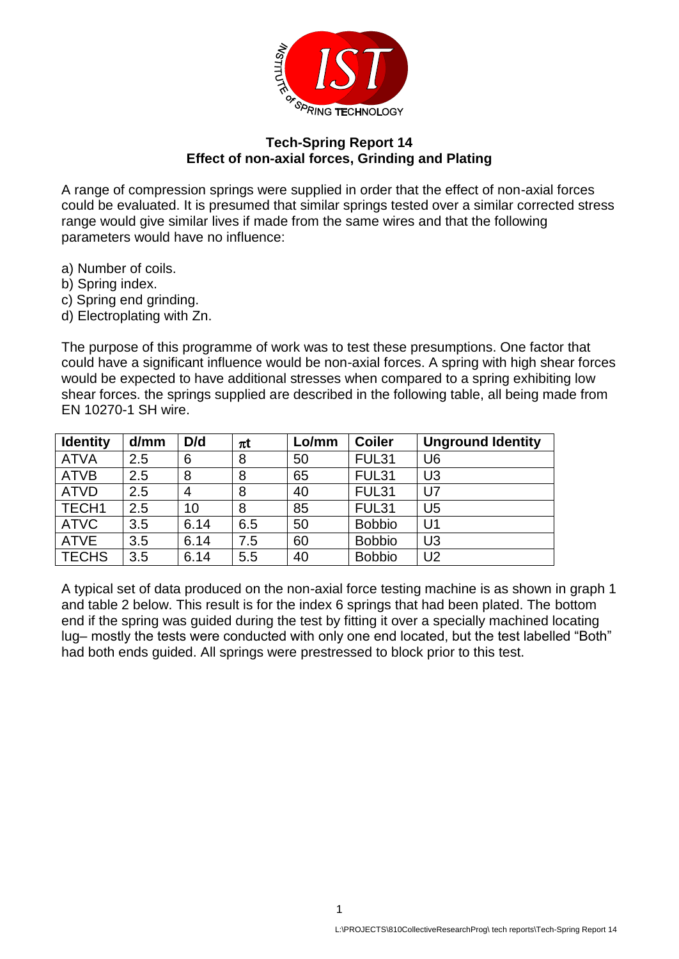

## **Tech-Spring Report 14 Effect of non-axial forces, Grinding and Plating**

A range of compression springs were supplied in order that the effect of non-axial forces could be evaluated. It is presumed that similar springs tested over a similar corrected stress range would give similar lives if made from the same wires and that the following parameters would have no influence:

- a) Number of coils.
- b) Spring index.
- c) Spring end grinding.
- d) Electroplating with Zn.

The purpose of this programme of work was to test these presumptions. One factor that could have a significant influence would be non-axial forces. A spring with high shear forces would be expected to have additional stresses when compared to a spring exhibiting low shear forces. the springs supplied are described in the following table, all being made from EN 10270-1 SH wire.

| <b>Identity</b> | d/mm | D/d  | $\pi t$ | Lo/mm | <b>Coiler</b> | <b>Unground Identity</b> |
|-----------------|------|------|---------|-------|---------------|--------------------------|
| <b>ATVA</b>     | 2.5  | 6    | 8       | 50    | <b>FUL31</b>  | U <sub>6</sub>           |
| <b>ATVB</b>     | 2.5  | 8    | 8       | 65    | <b>FUL31</b>  | U <sub>3</sub>           |
| <b>ATVD</b>     | 2.5  | 4    | 8       | 40    | <b>FUL31</b>  | $U$ 7                    |
| TECH1           | 2.5  | 10   | 8       | 85    | <b>FUL31</b>  | U <sub>5</sub>           |
| <b>ATVC</b>     | 3.5  | 6.14 | 6.5     | 50    | <b>Bobbio</b> | U <sub>1</sub>           |
| <b>ATVE</b>     | 3.5  | 6.14 | 7.5     | 60    | <b>Bobbio</b> | U <sub>3</sub>           |
| <b>TECHS</b>    | 3.5  | 6.14 | 5.5     | 40    | <b>Bobbio</b> | U <sub>2</sub>           |

A typical set of data produced on the non-axial force testing machine is as shown in graph 1 and table 2 below. This result is for the index 6 springs that had been plated. The bottom end if the spring was guided during the test by fitting it over a specially machined locating lug– mostly the tests were conducted with only one end located, but the test labelled "Both" had both ends guided. All springs were prestressed to block prior to this test.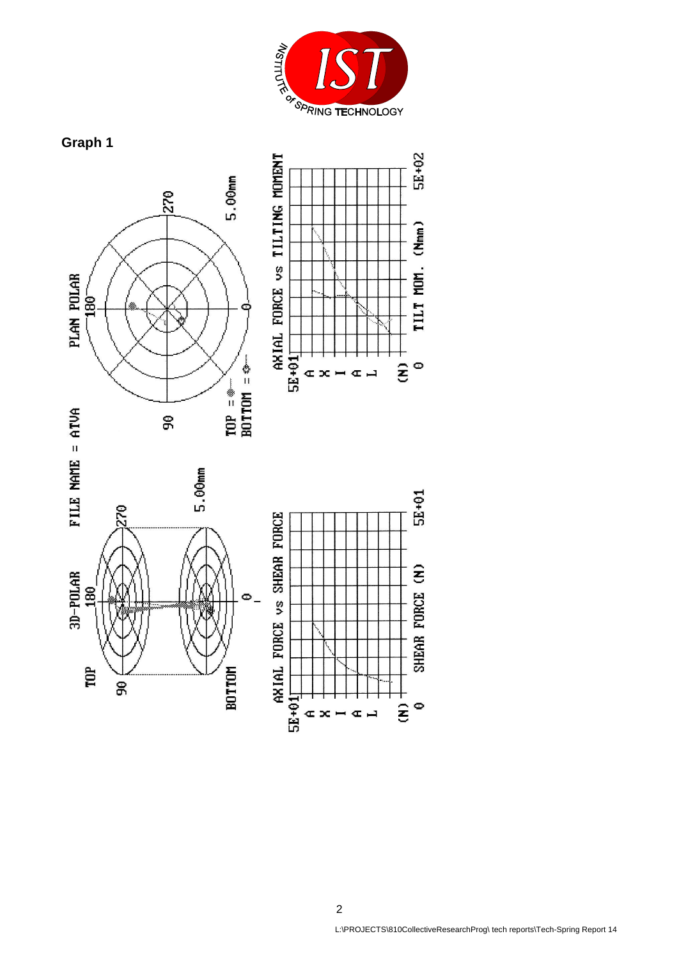

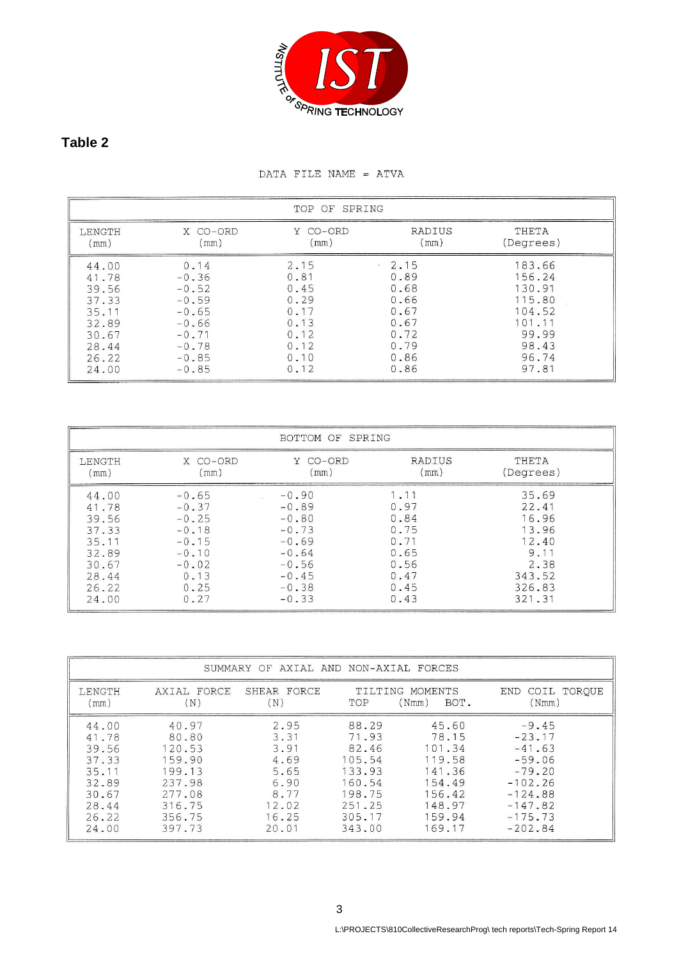

## **Table 2**

## DATA FILE NAME = ATVA

| TOP OF SPRING                                                                          |                                                                                                         |                                                                              |                                                                                               |                                                                                              |  |
|----------------------------------------------------------------------------------------|---------------------------------------------------------------------------------------------------------|------------------------------------------------------------------------------|-----------------------------------------------------------------------------------------------|----------------------------------------------------------------------------------------------|--|
| LENGTH<br>(mm)                                                                         | X CO-ORD<br>(mm)                                                                                        | Y CO-ORD<br>(mm)                                                             | RADIUS<br>(mm)                                                                                | THETA<br>(Degrees)                                                                           |  |
| 44.00<br>41.78<br>39.56<br>37.33<br>35.11<br>32.89<br>30.67<br>28.44<br>26.22<br>24.00 | 0.14<br>$-0.36$<br>$-0.52$<br>$-0.59$<br>$-0.65$<br>$-0.66$<br>$-0.71$<br>$-0.78$<br>$-0.85$<br>$-0.85$ | 2.15<br>0.81<br>0.45<br>0.29<br>0.17<br>0.13<br>0.12<br>0.12<br>0.10<br>0.12 | 2.15<br>$\frac{1}{2}$<br>0.89<br>0.68<br>0.66<br>0.67<br>0.67<br>0.72<br>0.79<br>0.86<br>0.86 | 183.66<br>156.24<br>130.91<br>115.80<br>104.52<br>101.11<br>99.99<br>98.43<br>96.74<br>97.81 |  |

| BOTTOM OF SPRING |          |          |        |           |  |
|------------------|----------|----------|--------|-----------|--|
| LENGTH           | X CO-ORD | Y CO-ORD | RADIUS | THETA     |  |
| (mm)             | (mm)     | (mm)     | (mm)   | (Degrees) |  |
| 44.00            | $-0.65$  | $-0.90$  | 1.11   | 35.69     |  |
| 41.78            | $-0.37$  | $-0.89$  | 0.97   | 22.41     |  |
| 39.56            | $-0.25$  | $-0.80$  | 0.84   | 16.96     |  |
| 37.33            | $-0.18$  | $-0.73$  | 0.75   | 13.96     |  |
| 35.11            | $-0.15$  | $-0.69$  | 0.71   | 12.40     |  |
| 32.89            | $-0.10$  | $-0.64$  | 0.65   | 9.11      |  |
| 30.67            | $-0.02$  | $-0.56$  | 0.56   | 2.38      |  |
| 28.44            | 0.13     | $-0.45$  | 0.47   | 343.52    |  |
| 26.22            | 0.25     | $-0.38$  | 0.45   | 326.83    |  |
| 24.00            | 0.27     | $-0.33$  | 0.43   | 321.31    |  |

| SUMMARY OF AXIAL AND NON-AXIAL FORCES                                                  |                                                                                                |                                                                                 |                                                                                               |                                                                                                |                                                                                                                          |  |
|----------------------------------------------------------------------------------------|------------------------------------------------------------------------------------------------|---------------------------------------------------------------------------------|-----------------------------------------------------------------------------------------------|------------------------------------------------------------------------------------------------|--------------------------------------------------------------------------------------------------------------------------|--|
| <b>LENGTH</b><br>(mm)                                                                  | AXIAL FORCE<br>$(\mathbb{N})$                                                                  | SHEAR FORCE<br>(N)                                                              | TOP                                                                                           | TILTING MOMENTS<br>(Nmm)<br>BOT.                                                               | COIL TOROUE<br>END<br>(Nmm)                                                                                              |  |
| 44.00<br>41.78<br>39.56<br>37.33<br>35.11<br>32.89<br>30.67<br>28.44<br>26.22<br>24.00 | 40.97<br>80.80<br>120.53<br>159.90<br>199.13<br>237.98<br>277.08<br>316.75<br>356.75<br>397.73 | 2.95<br>3.31<br>3.91<br>4.69<br>5.65<br>6.90<br>8.77<br>12.02<br>16.25<br>20.01 | 88.29<br>71.93<br>82.46<br>105.54<br>133.93<br>160.54<br>198.75<br>251.25<br>305.17<br>343.00 | 45.60<br>78.15<br>101.34<br>119.58<br>141.36<br>154.49<br>156.42<br>148.97<br>159.94<br>169.17 | $-9.45$<br>$-23.17$<br>$-41.63$<br>$-59.06$<br>$-79.20$<br>$-102.26$<br>$-124.88$<br>$-147.82$<br>$-175.73$<br>$-202.84$ |  |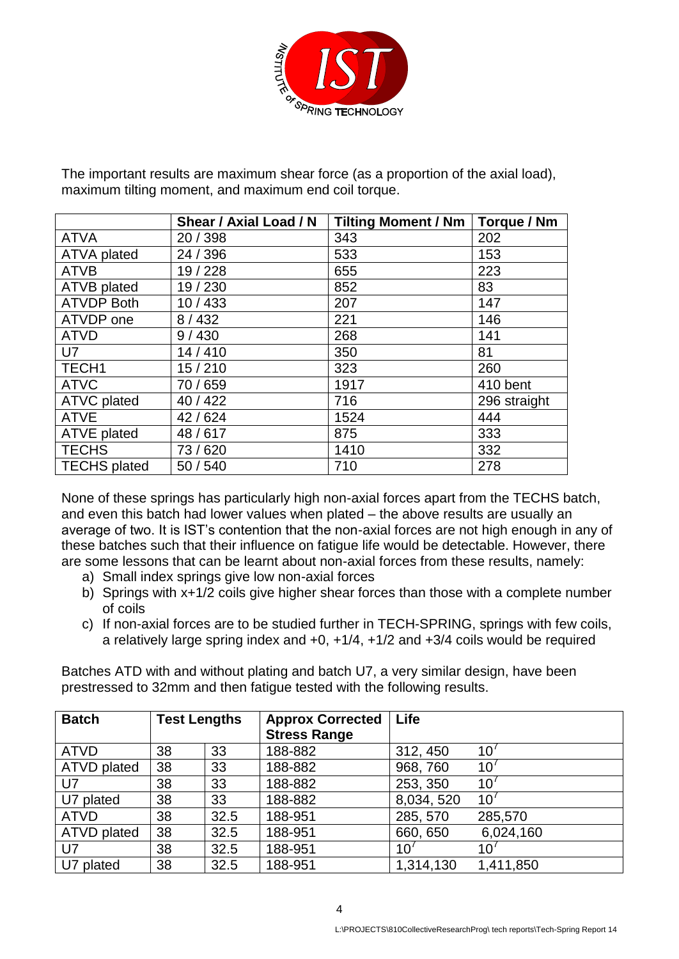

The important results are maximum shear force (as a proportion of the axial load), maximum tilting moment, and maximum end coil torque.

|                     | Shear / Axial Load / N | <b>Tilting Moment / Nm</b> | Torque / Nm  |
|---------------------|------------------------|----------------------------|--------------|
| <b>ATVA</b>         | 20 / 398               | 343                        | 202          |
| <b>ATVA plated</b>  | 24 / 396               | 533                        | 153          |
| <b>ATVB</b>         | 19/228                 | 655                        | 223          |
| <b>ATVB</b> plated  | 19/230                 | 852                        | 83           |
| <b>ATVDP Both</b>   | 10/433                 | 207                        | 147          |
| ATVDP one           | 8/432                  | 221                        | 146          |
| <b>ATVD</b>         | 9/430                  | 268                        | 141          |
| U7                  | 14/410                 | 350                        | 81           |
| TECH1               | 15/210                 | 323                        | 260          |
| <b>ATVC</b>         | 70 / 659               | 1917                       | 410 bent     |
| <b>ATVC plated</b>  | 40 / 422               | 716                        | 296 straight |
| <b>ATVE</b>         | 42/624                 | 1524                       | 444          |
| <b>ATVE plated</b>  | 48/617                 | 875                        | 333          |
| <b>TECHS</b>        | 73/620                 | 1410                       | 332          |
| <b>TECHS</b> plated | 50 / 540               | 710                        | 278          |

None of these springs has particularly high non-axial forces apart from the TECHS batch, and even this batch had lower values when plated – the above results are usually an average of two. It is IST's contention that the non-axial forces are not high enough in any of these batches such that their influence on fatigue life would be detectable. However, there are some lessons that can be learnt about non-axial forces from these results, namely:

- a) Small index springs give low non-axial forces
- b) Springs with x+1/2 coils give higher shear forces than those with a complete number of coils
- c) If non-axial forces are to be studied further in TECH-SPRING, springs with few coils, a relatively large spring index and +0, +1/4, +1/2 and +3/4 coils would be required

Batches ATD with and without plating and batch U7, a very similar design, have been prestressed to 32mm and then fatigue tested with the following results.

| <b>Batch</b>       | <b>Test Lengths</b> |      | <b>Approx Corrected</b><br><b>Stress Range</b> | Life            |                 |
|--------------------|---------------------|------|------------------------------------------------|-----------------|-----------------|
| <b>ATVD</b>        | 38                  | 33   | 188-882                                        | 312, 450        | 10 <sup>1</sup> |
| ATVD plated        | 38                  | 33   | 188-882                                        | 968, 760        | 10 <sup>′</sup> |
| U7                 | 38                  | 33   | 188-882                                        | 253, 350        | 10 <sup>7</sup> |
| U7 plated          | 38                  | 33   | 188-882                                        | 8,034,520       | 10 <sup>′</sup> |
| <b>ATVD</b>        | 38                  | 32.5 | 188-951                                        | 285, 570        | 285,570         |
| <b>ATVD</b> plated | 38                  | 32.5 | 188-951                                        | 660, 650        | 6,024,160       |
| U7                 | 38                  | 32.5 | 188-951                                        | 10 <sup>′</sup> | 10 <sup>°</sup> |
| U7 plated          | 38                  | 32.5 | 188-951                                        | 1,314,130       | 1,411,850       |